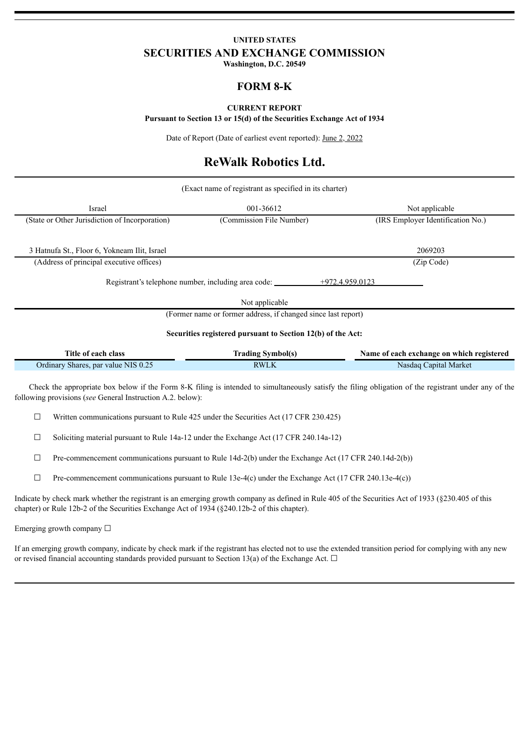# **UNITED STATES SECURITIES AND EXCHANGE COMMISSION**

**Washington, D.C. 20549**

## **FORM 8-K**

## **CURRENT REPORT**

**Pursuant to Section 13 or 15(d) of the Securities Exchange Act of 1934**

Date of Report (Date of earliest event reported): June 2, 2022

# **ReWalk Robotics Ltd.**

| (Exact name of registrant as specified in its charter) |                                                               |                                   |  |
|--------------------------------------------------------|---------------------------------------------------------------|-----------------------------------|--|
| Israel                                                 | 001-36612                                                     | Not applicable                    |  |
| (State or Other Jurisdiction of Incorporation)         | (Commission File Number)                                      | (IRS Employer Identification No.) |  |
|                                                        |                                                               |                                   |  |
| 3 Hatnufa St., Floor 6, Yokneam Ilit, Israel           |                                                               | 2069203                           |  |
| (Address of principal executive offices)               |                                                               | (Zip Code)                        |  |
|                                                        | Registrant's telephone number, including area code:           | $+972.4.959.0123$                 |  |
|                                                        | Not applicable                                                |                                   |  |
|                                                        | (Former name or former address, if changed since last report) |                                   |  |
|                                                        | Securities registered pursuant to Section 12(b) of the Act:   |                                   |  |

| Title of each class                 | <b>Trading Symbol(s)</b> | Name of each exchange on which registered |
|-------------------------------------|--------------------------|-------------------------------------------|
| Ordinary Shares, par value NIS 0.25 | RWLK                     | Nasdag Capital Market                     |

Check the appropriate box below if the Form 8-K filing is intended to simultaneously satisfy the filing obligation of the registrant under any of the following provisions (*see* General Instruction A.2. below):

□ Written communications pursuant to Rule 425 under the Securities Act (17 CFR 230.425)

 $\Box$  Soliciting material pursuant to Rule 14a-12 under the Exchange Act (17 CFR 240.14a-12)

 $\Box$  Pre-commencement communications pursuant to Rule 14d-2(b) under the Exchange Act (17 CFR 240.14d-2(b))

 $\Box$  Pre-commencement communications pursuant to Rule 13e-4(c) under the Exchange Act (17 CFR 240.13e-4(c))

Indicate by check mark whether the registrant is an emerging growth company as defined in Rule 405 of the Securities Act of 1933 (§230.405 of this chapter) or Rule 12b-2 of the Securities Exchange Act of 1934 (§240.12b-2 of this chapter).

Emerging growth company  $\Box$ 

If an emerging growth company, indicate by check mark if the registrant has elected not to use the extended transition period for complying with any new or revised financial accounting standards provided pursuant to Section 13(a) of the Exchange Act.  $\Box$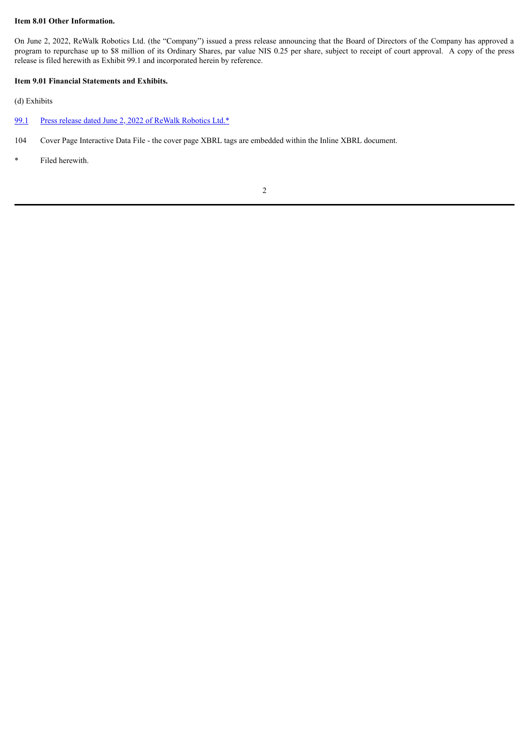## **Item 8.01 Other Information.**

On June 2, 2022, ReWalk Robotics Ltd. (the "Company") issued a press release announcing that the Board of Directors of the Company has approved a program to repurchase up to \$8 million of its Ordinary Shares, par value NIS 0.25 per share, subject to receipt of court approval. A copy of the press release is filed herewith as Exhibit 99.1 and incorporated herein by reference.

## **Item 9.01 Financial Statements and Exhibits.**

(d) Exhibits

- [99.1](#page-3-0) Press release dated June 2, 2022 of ReWalk [Robotics](#page-3-0) Ltd.\*
- 104 Cover Page Interactive Data File the cover page XBRL tags are embedded within the Inline XBRL document.
- \* Filed herewith.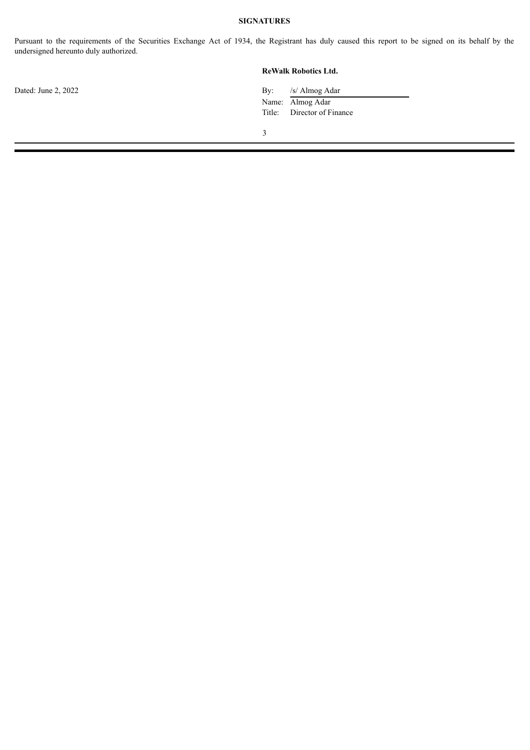## **SIGNATURES**

Pursuant to the requirements of the Securities Exchange Act of 1934, the Registrant has duly caused this report to be signed on its behalf by the undersigned hereunto duly authorized.

| ReWalk Robotics Ltd. |
|----------------------|
|----------------------|

Dated: June 2, 2022 By: /s/ Almog Adar Name: Almog Adar Title: Director of Finance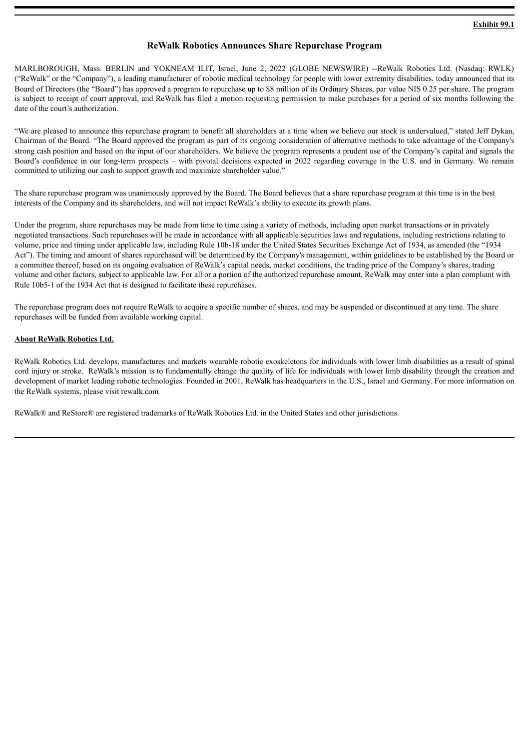## **ReWalk Robotics Announces Share Repurchase Program**

<span id="page-3-0"></span>MARLBOROUGH, Mass. BERLIN and YOKNEAM ILIT, Israel, June 2, 2022 (GLOBE NEWSWIRE) --ReWalk Robotics Ltd. (Nasdaq: RWLK) ("ReWalk" or the "Company"), a leading manufacturer of robotic medical technology for people with lower extremity disabilities, today announced that its Board of Directors (the "Board") has approved a program to repurchase up to \$8 million of its Ordinary Shares, par value NIS 0.25 per share. The program is subject to receipt of court approval, and ReWalk has filed a motion requesting permission to make purchases for a period of six months following the date of the court's authorization.

"We are pleased to announce this repurchase program to benefit all shareholders at a time when we believe our stock is undervalued," stated Jeff Dykan, Chairman of the Board. "The Board approved the program as part of its ongoing consideration of alternative methods to take advantage of the Company's strong cash position and based on the input of our shareholders. We believe the program represents a prudent use of the Company's capital and signals the Board's confidence in our long-term prospects – with pivotal decisions expected in 2022 regarding coverage in the U.S. and in Germany. We remain committed to utilizing our cash to support growth and maximize shareholder value."

The share repurchase program was unanimously approved by the Board. The Board believes that a share repurchase program at this time is in the best interests of the Company and its shareholders, and will not impact ReWalk's ability to execute its growth plans.

Under the program, share repurchases may be made from time to time using a variety of methods, including open market transactions or in privately negotiated transactions. Such repurchases will be made in accordance with all applicable securities laws and regulations, including restrictions relating to volume, price and timing under applicable law, including Rule 10b-18 under the United States Securities Exchange Act of 1934, as amended (the "1934 Act"). The timing and amount of shares repurchased will be determined by the Company's management, within guidelines to be established by the Board or a committee thereof, based on its ongoing evaluation of ReWalk's capital needs, market conditions, the trading price of the Company's shares, trading volume and other factors, subject to applicable law. For all or a portion of the authorized repurchase amount, ReWalk may enter into a plan compliant with Rule 10b5-1 of the 1934 Act that is designed to facilitate these repurchases.

The repurchase program does not require ReWalk to acquire a specific number of shares, and may be suspended or discontinued at any time. The share repurchases will be funded from available working capital.

## **About ReWalk Robotics Ltd.**

ReWalk Robotics Ltd. develops, manufactures and markets wearable robotic exoskeletons for individuals with lower limb disabilities as a result of spinal cord injury or stroke. ReWalk's mission is to fundamentally change the quality of life for individuals with lower limb disability through the creation and development of market leading robotic technologies. Founded in 2001, ReWalk has headquarters in the U.S., Israel and Germany. For more information on the ReWalk systems, please visit rewalk.com

ReWalk® and ReStore® are registered trademarks of ReWalk Robotics Ltd. in the United States and other jurisdictions.